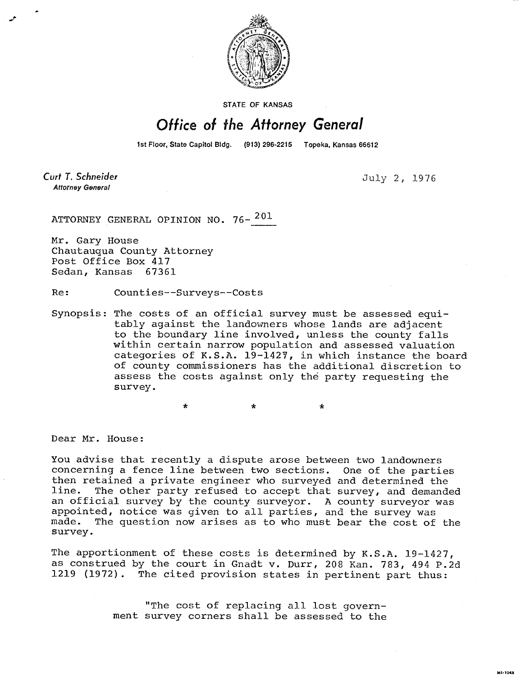

STATE OF KANSAS

## Office of the Attorney General

1st Floor, State Capitol Bldg. (913) 296-2215 Topeka, Kansas 66612

Curt T. Schneider **Attorney General** 

July 2, 1976

MI-1043

ATTORNEY GENERAL OPINION NO. 76-<sup>201</sup>

Mr. Gary House Chautauqua County Attorney Post Office Box 417<br>Sedan, Kansas 67361 Sedan, Kansas

Re: Counties--Surveys--Costs

Synopsis: The costs of an official survey must be assessed equitably against the landowners whose lands are adjacent to the boundary line involved, unless the county falls within certain narrow population and assessed valuation categories of K.S.A. 19-1427, in which instance the board of county commissioners has the additional discretion to assess the costs against only the party requesting the survey.

\* \*

Dear Mr. House:

You advise that recently a dispute arose between two landowners concerning a fence line between two sections. One of the parties then retained a private engineer who surveyed and determined the line. The other party refused to accept that survey, and demanded an official survey by the county surveyor. A county surveyor was appointed, notice was given to all parties, and the survey was The question now arises as to who must bear the cost of the survey.

The apportionment of these costs is determined by K.S.A. 19-1427, as construed by the court in Gnadt v. Durr, 208 Kan. 783, 494 P.2d 1219 (1972). The cited provision states in pertinent part thus:

> "The cost of replacing all lost government survey corners shall be assessed to the